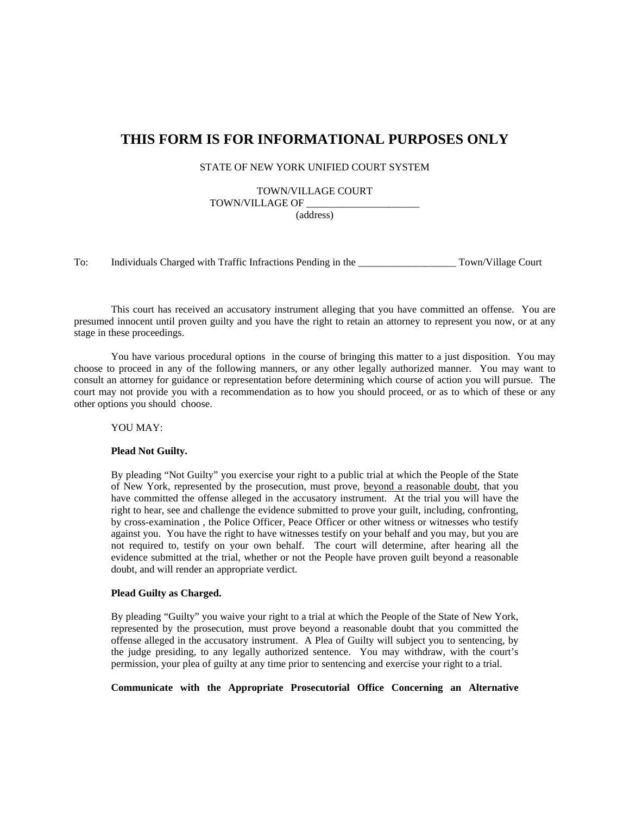# **THIS FORM IS FOR INFORMATIONAL PURPOSES ONLY**

STATE OF NEW YORK UNIFIED COURT SYSTEM

TOWN/VILLAGE COURT

TOWN/VILLAGE OF \_\_\_\_\_\_\_\_\_\_\_\_\_\_\_\_\_\_\_\_\_\_ (address)

To: Individuals Charged with Traffic Infractions Pending in the Town/Village Court

 This court has received an accusatory instrument alleging that you have committed an offense. You are presumed innocent until proven guilty and you have the right to retain an attorney to represent you now, or at any stage in these proceedings.

 You have various procedural options in the course of bringing this matter to a just disposition. You may choose to proceed in any of the following manners, or any other legally authorized manner. You may want to consult an attorney for guidance or representation before determining which course of action you will pursue. The court may not provide you with a recommendation as to how you should proceed, or as to which of these or any other options you should choose.

YOU MAY:

#### **Plead Not Guilty.**

By pleading "Not Guilty" you exercise your right to a public trial at which the People of the State of New York, represented by the prosecution, must prove, beyond a reasonable doubt, that you have committed the offense alleged in the accusatory instrument. At the trial you will have the right to hear, see and challenge the evidence submitted to prove your guilt, including, confronting, by cross-examination, the Police Officer, Peace Officer or other witness or witnesses who testify against you. You have the right to have witnesses testify on your behalf and you may, but you are not required to, testify on your own behalf. The court will determine, after hearing all the evidence submitted at the trial, whether or not the People have proven guilt beyond a reasonable doubt, and will render an appropriate verdict.

### **Plead Guilty as Charged.**

By pleading "Guilty" you waive your right to a trial at which the People of the State of New York, represented by the prosecution, must prove beyond a reasonable doubt that you committed the offense alleged in the accusatory instrument. A Plea of Guilty will subject you to sentencing, by the judge presiding, to any legally authorized sentence. You may withdraw, with the court's permission, your plea of guilty at any time prior to sentencing and exercise your right to a trial.

**Communicate with the Appropriate Prosecutorial Office Concerning an Alternative**